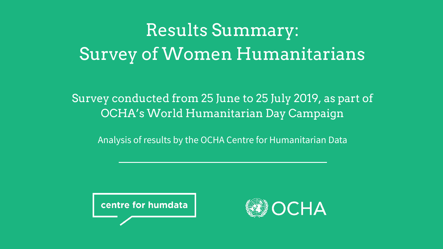# Results Summary: Survey of Women Humanitarians

### Survey conducted from 25 June to 25 July 2019, as part of OCHA's World Humanitarian Day Campaign

Analysis of results by the OCHA Centre for Humanitarian Data



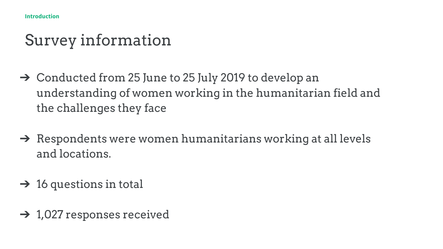## Survey information

- $\rightarrow$  Conducted from 25 June to 25 July 2019 to develop an understanding of women working in the humanitarian field and the challenges they face
- $\rightarrow$  Respondents were women humanitarians working at all levels and locations.
- $\rightarrow$  16 questions in total
- $\rightarrow$  1,027 responses received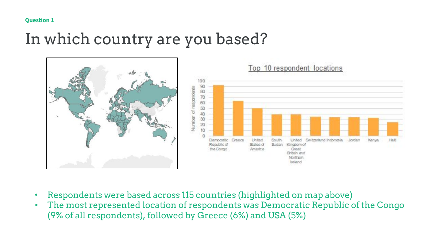### In which country are you based?



- Respondents were based across 115 countries (highlighted on map above)
- The most represented location of respondents was Democratic Republic of the Congo (9% of all respondents), followed by Greece (6%) and USA (5%)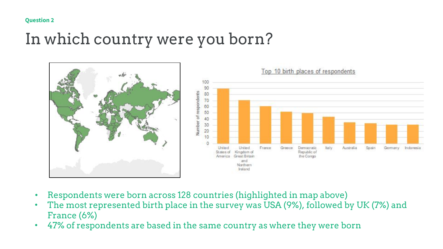### In which country were you born?



- Respondents were born across 128 countries (highlighted in map above)
- The most represented birth place in the survey was USA (9%), followed by UK (7%) and France (6%)
- 47% of respondents are based in the same country as where they were born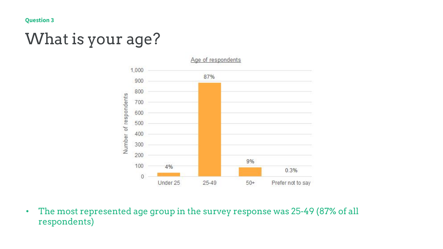### What is your age?



• The most represented age group in the survey response was 25-49 (87% of all respondents)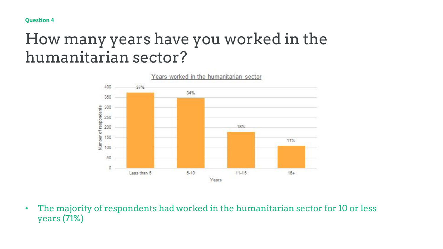### How many years have you worked in the humanitarian sector?



• The majority of respondents had worked in the humanitarian sector for 10 or less years (71%)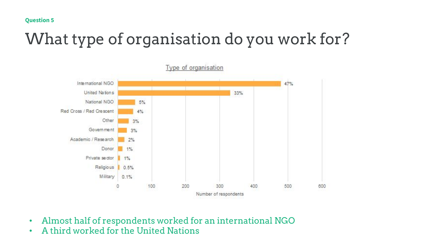### What type of organisation do you work for?



- Almost half of respondents worked for an international NGO
- A third worked for the United Nations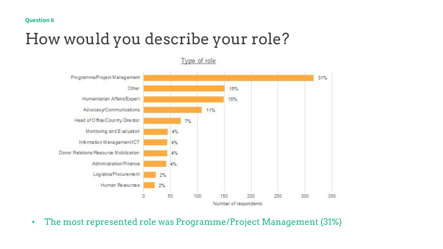### How would you describe your role?



• The most represented role was Programme/Project Management (31%)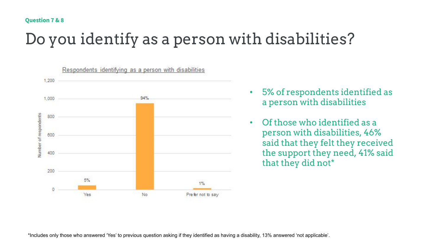### Do you identify as a person with disabilities?



- 5% of respondents identified as a person with disabilities
- Of those who identified as a person with disabilities, 46% said that they felt they received the support they need, 41% said that they did not\*

\*Includes only those who answered 'Yes' to previous question asking if they identified as having a disability, 13% answered 'not applicable'.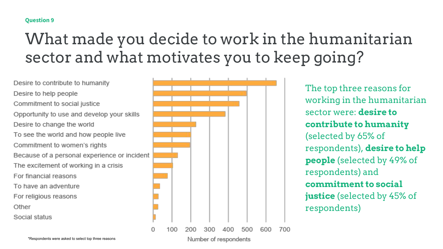### What made you decide to work in the humanitarian sector and what motivates you to keep going?

Desire to contribute to humanity Desire to help people Commitment to social justice Opportunity to use and develop your skills Desire to change the world To see the world and how people live Commitment to women's rights Because of a personal experience or incident The excitement of working in a crisis For financial reasons To have an adventure For religious reasons Other Social status



The top three reasons for working in the humanitarian sector were: **desire to contribute to humanity**  (selected by 65% of respondents), **desire to help people** (selected by 49% of respondents) and **commitment to social justice** (selected by 45% of respondents)

Number of respondents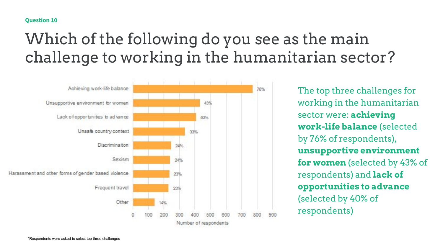### Which of the following do you see as the main challenge to working in the humanitarian sector?



The top three challenges for working in the humanitarian sector were: **achieving work-life balance** (selected by 76% of respondents), **unsupportive environment for women** (selected by 43% of respondents) and **lack of opportunities to advance**  (selected by 40% of respondents)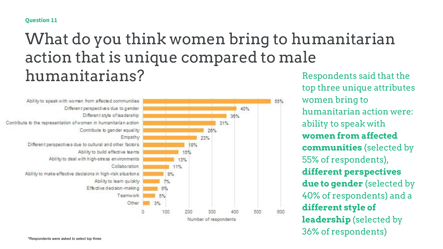### What do you think women bring to humanitarian action that is unique compared to male humanitarians?



Respondents said that the top three unique attributes women bring to humanitarian action were: ability to speak with **women from affected communities** (selected by 55% of respondents), **different perspectives due to gender** (selected by 40% of respondents) and a **different style of leadership** (selected by 36% of respondents)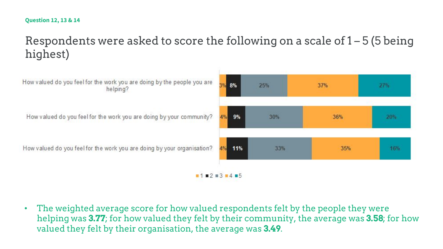#### **Question 12, 13 & 14**

### Respondents were asked to score the following on a scale of 1 – 5 (5 being highest)



• The weighted average score for how valued respondents felt by the people they were helping was **3.77**; for how valued they felt by their community, the average was **3.58**; for how valued they felt by their organisation, the average was **3.49**.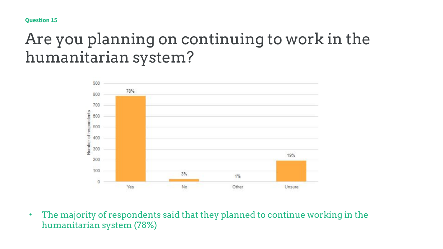### Are you planning on continuing to work in the humanitarian system?



• The majority of respondents said that they planned to continue working in the humanitarian system (78%)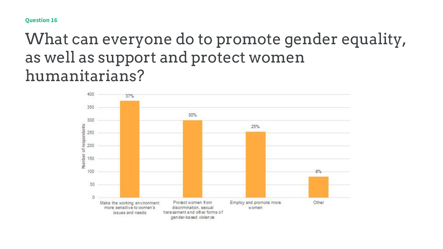What can everyone do to promote gender equality, as well as support and protect women humanitarians?

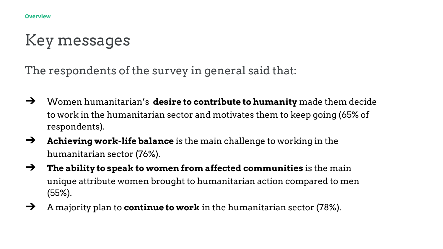### Key messages

The respondents of the survey in general said that:

- ➔ Women humanitarian's **desire to contribute to humanity** made them decide to work in the humanitarian sector and motivates them to keep going (65% of respondents).
- ➔ **Achieving work-life balance** is the main challenge to working in the humanitarian sector (76%).
- ➔ **The ability to speak to women from affected communities** is the main unique attribute women brought to humanitarian action compared to men (55%).
- ➔ A majority plan to **continue to work** in the humanitarian sector (78%).